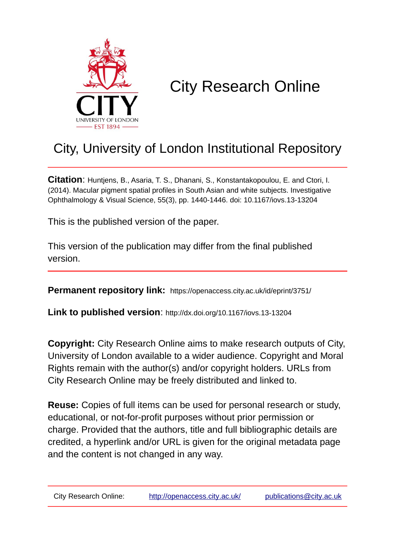

# City Research Online

## City, University of London Institutional Repository

**Citation**: Huntjens, B., Asaria, T. S., Dhanani, S., Konstantakopoulou, E. and Ctori, I. (2014). Macular pigment spatial profiles in South Asian and white subjects. Investigative Ophthalmology & Visual Science, 55(3), pp. 1440-1446. doi: 10.1167/iovs.13-13204

This is the published version of the paper.

This version of the publication may differ from the final published version.

**Permanent repository link:** https://openaccess.city.ac.uk/id/eprint/3751/

**Link to published version**: http://dx.doi.org/10.1167/iovs.13-13204

**Copyright:** City Research Online aims to make research outputs of City, University of London available to a wider audience. Copyright and Moral Rights remain with the author(s) and/or copyright holders. URLs from City Research Online may be freely distributed and linked to.

**Reuse:** Copies of full items can be used for personal research or study, educational, or not-for-profit purposes without prior permission or charge. Provided that the authors, title and full bibliographic details are credited, a hyperlink and/or URL is given for the original metadata page and the content is not changed in any way.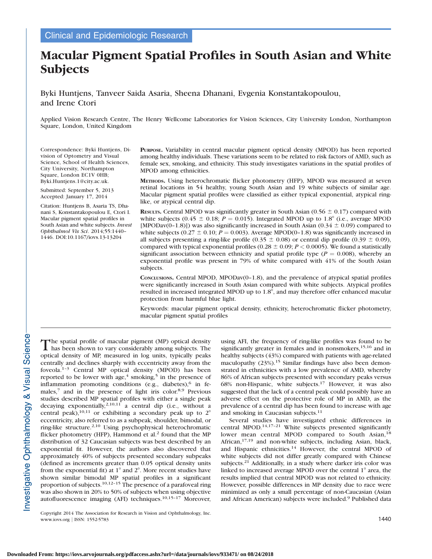### Macular Pigment Spatial Profiles in South Asian and White **Subjects**

Byki Huntjens, Tanveer Saida Asaria, Sheena Dhanani, Evgenia Konstantakopoulou, and Irene Ctori

Applied Vision Research Centre, The Henry Wellcome Laboratories for Vision Sciences, City University London, Northampton Square, London, United Kingdom

Correspondence: Byki Huntjens, Division of Optometry and Visual Science, School of Health Sciences, City University, Northampton Square, London EC1V 0HB; Byki.Huntjens.1@city.ac.uk.

Submitted: September 5, 2013 Accepted: January 17, 2014

Citation: Huntjens B, Asaria TS, Dhanani S, Konstantakopoulou E, Ctori I. Macular pigment spatial profiles in South Asian and white subjects. Invest Ophthalmol Vis Sci. 2014;55:1440– 1446. DOI:10.1167/iovs.13-13204

PURPOSE. Variability in central macular pigment optical density (MPOD) has been reported among healthy individuals. These variations seem to be related to risk factors of AMD, such as female sex, smoking, and ethnicity. This study investigates variations in the spatial profiles of MPOD among ethnicities.

METHODS. Using heterochromatic flicker photometry (HFP), MPOD was measured at seven retinal locations in 54 healthy, young South Asian and 19 white subjects of similar age. Macular pigment spatial profiles were classified as either typical exponential, atypical ringlike, or atypical central dip.

RESULTS. Central MPOD was significantly greater in South Asian (0.56  $\pm$  0.17) compared with white subjects (0.45  $\pm$  0.18; P = 0.015). Integrated MPOD up to 1.8° (i.e., average MPOD [MPODav(0–1.8)]) was also significantly increased in South Asian (0.34  $\pm$  0.09) compared to white subjects (0.27  $\pm$  0.10; P = 0.003). Average MPOD(0-1.8) was significantly increased in all subjects presenting a ring-like profile (0.35  $\pm$  0.08) or central dip profile (0.39  $\pm$  0.09), compared with typical exponential profiles (0.28  $\pm$  0.09; P < 0.0005). We found a statistically significant association between ethnicity and spatial profile type ( $P = 0.008$ ), whereby an exponential profile was present in 79% of white compared with 41% of the South Asian subjects.

CONCLUSIONS. Central MPOD, MPODav $(0-1.8)$ , and the prevalence of atypical spatial profiles were significantly increased in South Asian compared with white subjects. Atypical profiles resulted in increased integrated MPOD up to 1.8°, and may therefore offer enhanced macular protection from harmful blue light.

Keywords: macular pigment optical density, ethnicity, heterochromatic flicker photometry, macular pigment spatial profiles

The spatial profile of macular pigment (MP) optical density **L** has been shown to vary considerably among subjects. The optical density of MP, measured in log units, typically peaks centrally and declines sharply with eccentricity away from the foveola.1–3 Central MP optical density (MPOD) has been reported to be lower with  $age<sup>4</sup>$  smoking,<sup>5</sup> in the presence of inflammation promoting conditions (e.g., diabetes), $6$  in females,<sup>7</sup> and in the presence of light iris color.<sup>8,9</sup> Previous studies described MP spatial profiles with either a single peak decaying exponentially,<sup>2,10,11</sup> a central dip (i.e., without a central peak),<sup>10,11</sup> or exhibiting a secondary peak up to  $2^{\circ}$ eccentricity, also referred to as a subpeak, shoulder, bimodal, or ring-like structure.2,10 Using psychophysical heterochromatic flicker photometry (HFP), Hammond et al.<sup>2</sup> found that the MP distribution of 32 Caucasian subjects was best described by an exponential fit. However, the authors also discovered that approximately 40% of subjects presented secondary subpeaks (defined as increments greater than 0.05 optical density units from the exponential fit) at  $1^\circ$  and  $2^\circ$ . More recent studies have shown similar bimodal MP spatial profiles in a significant proportion of subjects.10,12–15 The presence of a parafoveal ring was also shown in 20% to 50% of subjects when using objective autofluorescence imaging (AFI) techniques.10,15–17 Moreover,

using AFI, the frequency of ring-like profiles was found to be significantly greater in females and in nonsmokers,<sup>15,16</sup> and in healthy subjects (43%) compared with patients with age-related maculopathy (23%).<sup>15</sup> Similar findings have also been demonstrated in ethnicities with a low prevalence of AMD, whereby 86% of African subjects presented with secondary peaks versus 68% non-Hispanic, white subjects.<sup>17</sup> However, it was also suggested that the lack of a central peak could possibly have an adverse effect on the protective role of MP in AMD, as the prevalence of a central dip has been found to increase with age and smoking in Caucasian subjects.<sup>11</sup>

Several studies have investigated ethnic differences in central MPOD.14,17–21 White subjects presented significantly lower mean central MPOD compared to South Asian,<sup>18</sup> African,<sup>17,19</sup> and non-white subjects, including Asian, black, and Hispanic ethnicities.<sup>14</sup> However, the central MPOD of white subjects did not differ greatly compared with Chinese subjects.<sup>21</sup> Additionally, in a study where darker iris color was linked to increased average MPOD over the central  $1^\circ$  area, the results implied that central MPOD was not related to ethnicity. However, possible differences in MP density due to race were minimized as only a small percentage of non-Caucasian (Asian and African American) subjects were included.<sup>9</sup> Published data

Copyright 2014 The Association for Research in Vision and Ophthalmology, Inc. www.iovs.org | ISSN: 1552-5783 1440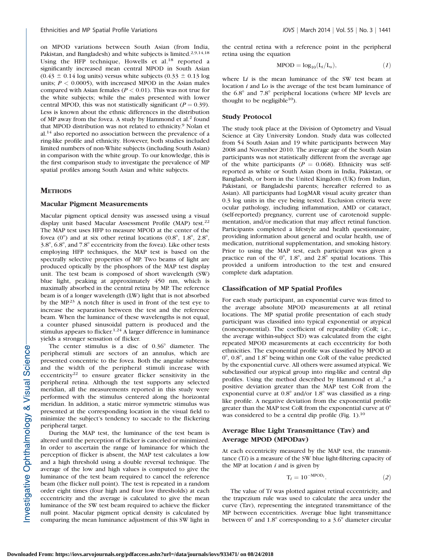on MPOD variations between South Asian (from India, Pakistan, and Bangladesh) and white subjects is limited.2,9,14,18 Using the HFP technique, Howells et al.<sup>18</sup> reported a significantly increased mean central MPOD in South Asian  $(0.43 \pm 0.14 \text{ log units})$  versus white subjects  $(0.33 \pm 0.13 \text{ log}$ units;  $P < 0.0005$ ), with increased MPOD in the Asian males compared with Asian females ( $P < 0.01$ ). This was not true for the white subjects; while the males presented with lower central MPOD, this was not statistically significant ( $P = 0.39$ ). Less is known about the ethnic differences in the distribution of MP away from the fovea. A study by Hammond et al.<sup>2</sup> found that MPOD distribution was not related to ethnicity.9 Nolan et al.<sup>14</sup> also reported no association between the prevalence of a ring-like profile and ethnicity. However, both studies included limited numbers of non-White subjects (including South Asian) in comparison with the white group. To our knowledge, this is the first comparison study to investigate the prevalence of MP spatial profiles among South Asian and white subjects.

#### **METHODS**

#### Macular Pigment Measurements

Macular pigment optical density was assessed using a visual display unit based Macular Assessment Profile (MAP) test.<sup>22</sup> The MAP test uses HFP to measure MPOD at the center of the fovea  $(0^{\circ})$  and at six other retinal locations  $(0.8^{\circ}, 1.8^{\circ}, 2.8^{\circ})$  $3.8^{\circ}$ ,  $6.8^{\circ}$ , and  $7.8^{\circ}$  eccentricity from the fovea). Like other tests employing HFP techniques, the MAP test is based on the spectrally selective properties of MP. Two beams of light are produced optically by the phosphors of the MAP test display unit. The test beam is composed of short wavelength (SW) blue light, peaking at approximately 450 nm, which is maximally absorbed in the central retina by MP. The reference beam is of a longer wavelength (LW) light that is not absorbed by the MP.23 A notch filter is used in front of the test eye to increase the separation between the test and the reference beam. When the luminance of these wavelengths is not equal, a counter phased sinusoidal pattern is produced and the stimulus appears to flicker.<sup>1,24</sup> A larger difference in luminance yields a stronger sensation of flicker.

The center stimulus is a disc of  $0.36^{\circ}$  diameter. The peripheral stimuli are sectors of an annulus, which are presented concentric to the fovea. Both the angular subtense and the width of the peripheral stimuli increase with eccentricity<sup>22</sup> to ensure greater flicker sensitivity in the peripheral retina. Although the test supports any selected meridian, all the measurements reported in this study were performed with the stimulus centered along the horizontal meridian. In addition, a static mirror symmetric stimulus was presented at the corresponding location in the visual field to minimize the subject's tendency to saccade to the flickering peripheral target.

During the MAP test, the luminance of the test beam is altered until the perception of flicker is canceled or minimized. In order to ascertain the range of luminance for which the perception of flicker is absent, the MAP test calculates a low and a high threshold using a double reversal technique. The average of the low and high values is computed to give the luminance of the test beam required to cancel the reference beam (the flicker null point). The test is repeated in a random order eight times (four high and four low thresholds) at each eccentricity and the average is calculated to give the mean luminance of the SW test beam required to achieve the flicker null point. Macular pigment optical density is calculated by comparing the mean luminance adjustment of this SW light in

the central retina with a reference point in the peripheral retina using the equation

$$
\text{MPOD} = \log_{10} \left( L_i / L_o \right), \tag{1}
$$

where  $Li$  is the mean luminance of the SW test beam at location *i* and Lo is the average of the test beam luminance of the  $6.8^{\circ}$  and  $7.8^{\circ}$  peripheral locations (where MP levels are thought to be negligible<sup>10</sup>).

#### Study Protocol

The study took place at the Division of Optometry and Visual Science at City University London. Study data was collected from 54 South Asian and 19 white participants between May 2008 and November 2010. The average age of the South Asian participants was not statistically different from the average age of the white participants ( $P = 0.068$ ). Ethnicity was selfreported as white or South Asian (born in India, Pakistan, or Bangladesh, or born in the United Kingdom (UK) from Indian, Pakistani, or Bangladeshi parents; hereafter referred to as Asian). All participants had LogMAR visual acuity greater than 0.3 log units in the eye being tested. Exclusion criteria were ocular pathology, including inflammation, AMD or cataract, (self-reported) pregnancy, current use of carotenoid supplementation, and/or medication that may affect retinal function. Participants completed a lifestyle and health questionnaire, providing information about general and ocular health, use of medication, nutritional supplementation, and smoking history. Prior to using the MAP test, each participant was given a practice run of the  $0^{\circ}$ , 1.8°, and 2.8° spatial locations. This provided a uniform introduction to the test and ensured complete dark adaptation.

#### Classification of MP Spatial Profiles

For each study participant, an exponential curve was fitted to the average absolute MPOD measurements at all retinal locations. The MP spatial profile presentation of each study participant was classified into typical exponential or atypical (nonexponential). The coefficient of repeatability (CoR; i.e., the average within-subject SD) was calculated from the eight repeated MPOD measurements at each eccentricity for both ethnicities. The exponential profile was classified by MPOD at  $0^{\circ}$ , 0.8°, and 1.8° being within one CoR of the value predicted by the exponential curve. All others were assumed atypical. We subclassified our atypical group into ring-like and central dip profiles. Using the method described by Hammond et al., $<sup>2</sup>$  a</sup> positive deviation greater than the MAP test CoR from the exponential curve at  $0.8^{\circ}$  and/or  $1.8^{\circ}$  was classified as a ringlike profile. A negative deviation from the exponential profile greater than the MAP test CoR from the exponential curve at  $0^\circ$ was considered to be a central dip profile (Fig. 1).<sup>10</sup>

#### Average Blue Light Transmittance (Tav) and Average MPOD (MPODav)

At each eccentricity measured by the MAP test, the transmittance  $(Ti)$  is a measure of the SW blue light-filtering capacity of the MP at location  $i$  and is given by

$$
T_i = 10^{-MPOD_i}.\t\t(2)
$$

The value of Ti was plotted against retinal eccentricity, and the trapezium rule was used to calculate the area under the curve (Tav), representing the integrated transmittance of the MP between eccentricities. Average blue light transmittance between  $0^{\circ}$  and  $1.8^{\circ}$  corresponding to a 3.6 $^{\circ}$  diameter circular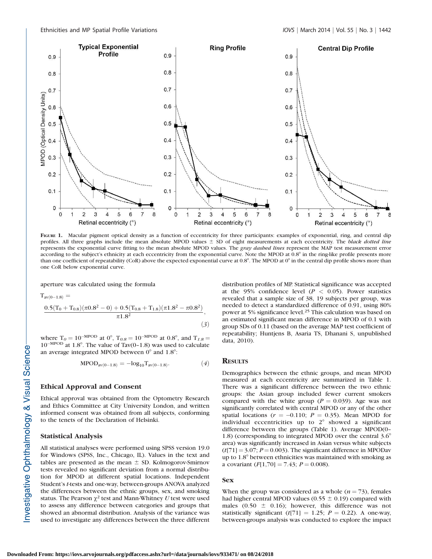

FIGURE 1. Macular pigment optical density as a function of eccentricity for three participants: examples of exponential, ring, and central dip profiles. All three graphs include the mean absolute MPOD values  $\pm$  SD of eight measurements at each eccentricity. The black dotted line represents the exponential curve fitting to the mean absolute MPOD values. The gray dashed lines represent the MAP test measurement error according to the subject's ethnicity at each eccentricity from the exponential curve. Note the MPOD at 0.8° in the ring-like profile presents more than one coefficient of repeatability (CoR) above the expected exponential curve at  $0.8^\circ$ . The MPOD at  $0^\circ$  in the central dip profile shows more than one CoR below exponential curve.

 $(3)$ 

aperture was calculated using the formula

 $T_{av(0-1.8)} =$  $\frac{0.5 (T_0+T_{0.8})(\pi 0.8^2-0)+0.5 (T_{0.8}+T_{1.8})(\pi 1.8^2-\pi 0.8^2)}{\pi 1.8^2},$ 

where  $T_0 = 10^{-MPOD}$  at 0°,  $T_{0.8} = 10^{-MPOD}$  at 0.8°, and  $T_{1.8} =$  $10^{-MPOD}$  at 1.8°. The value of Tav(0-1.8) was used to calculate an average integrated MPOD between  $0^{\circ}$  and  $1.8^{\circ}$ .

$$
MPOD_{av(0-1.8)} = -log_{10} T_{av(0-1.8)}.
$$
 (4)

#### Ethical Approval and Consent

Ethical approval was obtained from the Optometry Research and Ethics Committee at City University London, and written informed consent was obtained from all subjects, conforming to the tenets of the Declaration of Helsinki.

#### Statistical Analysis

All statistical analyses were performed using SPSS version 19.0 for Windows (SPSS, Inc., Chicago, IL). Values in the text and tables are presented as the mean  $\pm$  SD. Kolmogorov-Smirnov tests revealed no significant deviation from a normal distribution for MPOD at different spatial locations. Independent Student's t-tests and one-way, between-groups ANOVA analyzed the differences between the ethnic groups, sex, and smoking status. The Pearson  $\chi^2$  test and Mann-Whitney U test were used to assess any difference between categories and groups that showed an abnormal distribution. Analysis of the variance was used to investigate any differences between the three different distribution profiles of MP. Statistical significance was accepted at the 95% confidence level ( $P < 0.05$ ). Power statistics revealed that a sample size of 38, 19 subjects per group, was needed to detect a standardized difference of 0.91, using 80% power at 5% significance level.<sup>25</sup> This calculation was based on an estimated significant mean difference in MPOD of 0.1 with group SDs of 0.11 (based on the average MAP test coefficient of repeatability; Huntjens B, Asaria TS, Dhanani S, unpublished data, 2010).

#### **RESULTS**

Demographics between the ethnic groups, and mean MPOD measured at each eccentricity are summarized in Table 1. There was a significant difference between the two ethnic groups: the Asian group included fewer current smokers compared with the white group ( $P = 0.039$ ). Age was not significantly correlated with central MPOD or any of the other spatial locations ( $r = -0.110$ ;  $P = 0.35$ ). Mean MPOD for individual eccentricities up to  $2^{\circ}$  showed a significant difference between the groups (Table 1). Average MPOD(0– 1.8) (corresponding to integrated MPOD over the central  $3.6^{\circ}$ area) was significantly increased in Asian versus white subjects  $(t[71] = 3.07; P = 0.003)$ . The significant difference in MPODav up to  $1.8^{\circ}$  between ethnicities was maintained with smoking as a covariant  $(F[1,70] = 7.43; P = 0.008)$ .

#### Sex

When the group was considered as a whole  $(n = 73)$ , females had higher central MPOD values (0.55  $\pm$  0.19) compared with males (0.50  $\pm$  0.16); however, this difference was not statistically significant (t[71] = 1.25;  $P = 0.22$ ). A one-way, between-groups analysis was conducted to explore the impact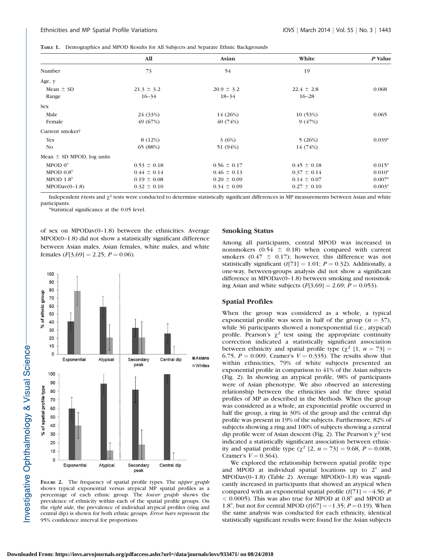TABLE 1. Demographics and MPOD Results for All Subjects and Separate Ethnic Backgrounds

|                               | <b>All</b>      | Asian           | White           | P Value  |
|-------------------------------|-----------------|-----------------|-----------------|----------|
| Number                        | 73              | 54              | 19              |          |
| Age, y                        |                 |                 |                 |          |
| Mean $\pm$ SD                 | $21.3 \pm 3.2$  | $20.9 \pm 3.2$  | $22.4 \pm 2.8$  | 0.068    |
| Range                         | $16 - 34$       | $18 - 34$       | $16 - 28$       |          |
| <b>Sex</b>                    |                 |                 |                 |          |
| Male                          | 24 (33%)        | 14 (26%)        | 10(53%)         | 0.065    |
| Female                        | 49 (67%)        | 40 (74%)        | 9(47%)          |          |
| Current smoker?               |                 |                 |                 |          |
| <b>Yes</b>                    | 8 (12%)         | 3(6%)           | 5(26%)          | $0.039*$ |
| No                            | 65 (88%)        | 51 (94%)        | 14 (74%)        |          |
| Mean $\pm$ SD MPOD, log units |                 |                 |                 |          |
| MPOD $0^\circ$                | $0.53 \pm 0.18$ | $0.56 \pm 0.17$ | $0.45 \pm 0.18$ | $0.015*$ |
| MPOD $0.8^\circ$              | $0.44 \pm 0.14$ | $0.46 \pm 0.13$ | $0.37 \pm 0.14$ | $0.010*$ |
| MPOD $1.8^\circ$              | $0.19 \pm 0.08$ | $0.20 \pm 0.09$ | $0.14 \pm 0.07$ | $0.007*$ |
| $MPODav(0-1.8)$               | $0.32 \pm 0.10$ | $0.34 \pm 0.09$ | $0.27 \pm 0.10$ | $0.003*$ |

Independent *t*-tests and  $\chi^2$  tests were conducted to determine statistically significant differences in MP measurements between Asian and white participants.

\*Statistical significance at the 0.05 level.

of sex on MPODav(0–1.8) between the ethnicities. Average MPOD(0–1.8) did not show a statistically significant difference between Asian males, Asian females, white males, and white females  $(F[3,69] = 2.25; P = 0.06)$ .



FIGURE 2. The frequency of spatial profile types. The upper graph shows typical exponential versus atypical MP spatial profiles as a percentage of each ethnic group. The lower graph shows the prevalence of ethnicity within each of the spatial profile groups. On the *right side*, the prevalence of individual atypical profiles (ring and central dip) is shown for both ethnic groups. Error bars represent the 95% confidence interval for proportions.

#### Smoking Status

Among all participants, central MPOD was increased in nonsmokers (0.54  $\pm$  0.18) when compared with current smokers (0.47  $\pm$  0.17); however, this difference was not statistically significant ( $t[71] = 1.01$ ;  $P = 0.32$ ). Additionally, a one-way, between-groups analysis did not show a significant difference in MPODav(0–1.8) between smoking and nonsmoking Asian and white subjects  $(F[3,69] = 2.69; P = 0.053)$ .

#### Spatial Profiles

When the group was considered as a whole, a typical exponential profile was seen in half of the group ( $n = 37$ ), while 36 participants showed a nonexponential (i.e., atypical) profile. Pearson's  $\chi^2$  test using the appropriate continuity correction indicated a statistically significant association between ethnicity and spatial profile type ( $\chi^2$  [1,  $n = 73$ ] = 6.75,  $P = 0.009$ , Cramer's  $V = 0.335$ ). The results show that within ethnicities, 79% of white subjects presented an exponential profile in comparison to 41% of the Asian subjects (Fig. 2). In showing an atypical profile, 98% of participants were of Asian phenotype. We also observed an interesting relationship between the ethnicities and the three spatial profiles of MP as described in the Methods. When the group was considered as a whole, an exponential profile occurred in half the group, a ring in 30% of the group and the central dip profile was present in 19% of the subjects. Furthermore, 82% of subjects showing a ring and 100% of subjects showing a central dip profile were of Asian descent (Fig. 2). The Pearson's  $\chi^2$  test indicated a statistically significant association between ethnicity and spatial profile type  $(\chi^2 [2, n = 73] = 9.68, P = 0.008,$ Cramer's  $V = 0.364$ ).

We explored the relationship between spatial profile type and MPOD at individual spatial locations up to  $2^\circ$  and MPODav(0–1.8) (Table 2). Average MPOD(0–1.8) was significantly increased in participants that showed an atypical when compared with an exponential spatial profile  $(t[71] = -4.56; P$  $<$  0.0005). This was also true for MPOD at 0.8 $^{\circ}$  and MPOD at 1.8°, but not for central MPOD ( $t$ [67] = -1.35; *P* = 0.19). When the same analysis was conducted for each ethnicity, identical statistically significant results were found for the Asian subjects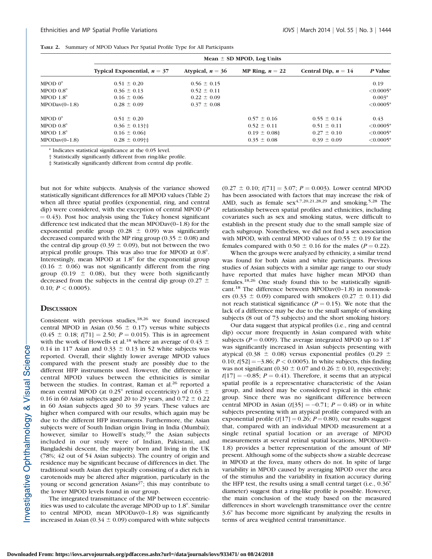|  |  | <b>TABLE 2.</b> Summary of MPOD Values Per Spatial Profile Type for All Participants |  |  |
|--|--|--------------------------------------------------------------------------------------|--|--|
|--|--|--------------------------------------------------------------------------------------|--|--|

|                  | Mean $\pm$ SD MPOD, Log Units |                    |                   |                       |                 |  |  |  |
|------------------|-------------------------------|--------------------|-------------------|-----------------------|-----------------|--|--|--|
|                  | Typical Exponential, $n = 37$ | Atypical, $n = 36$ | MP Ring, $n = 22$ | Central Dip, $n = 14$ | P Value         |  |  |  |
| MPOD $0^{\circ}$ | $0.51 \pm 0.20$               | $0.56 \pm 0.15$    |                   |                       | 0.19            |  |  |  |
| MPOD $0.8^\circ$ | $0.36 \pm 0.13$               | $0.52 \pm 0.11$    |                   |                       | $<0.0005*$      |  |  |  |
| MPOD $1.8^\circ$ | $0.16 \pm 0.06$               | $0.22 \pm 0.09$    |                   |                       | $0.003*$        |  |  |  |
| $MPODav(0-1.8)$  | $0.28 \pm 0.09$               | $0.37 \pm 0.08$    |                   |                       | $\leq 0.0005^*$ |  |  |  |
| MPOD $0^{\circ}$ | $0.51 \pm 0.20$               |                    | $0.57 \pm 0.16$   | $0.55 \pm 0.14$       | 0.43            |  |  |  |
| MPOD $0.8^\circ$ | $0.36 \pm 0.13$ <sup>+</sup>  |                    | $0.52 \pm 0.11$   | $0.51 \pm 0.11$       | $\leq 0.0005^*$ |  |  |  |
| MPOD $1.8^\circ$ | $0.16 \pm 0.06$               |                    | $0.19 \pm 0.08$   | $0.27 \pm 0.10$       | $<0.0005*$      |  |  |  |
| $MPODav(0-1.8)$  | $0.28 \pm 0.09$ <sup>++</sup> |                    | $0.35 \pm 0.08$   | $0.39 \pm 0.09$       | $\leq 0.0005*$  |  |  |  |

\* Indicates statistical significance at the 0.05 level.

† Statistically significantly different from ring-like profile.

‡ Statistically significantly different from central dip profile.

but not for white subjects. Analysis of the variance showed statistically significant differences for all MPOD values (Table 2) when all three spatial profiles (exponential, ring, and central dip) were considered, with the exception of central MPOD (P  $= 0.43$ ). Post hoc analysis using the Tukey honest significant difference test indicated that the mean MPODav(0–1.8) for the exponential profile group (0.28  $\pm$  0.09) was significantly decreased compared with the MP ring group (0.35  $\pm$  0.08) and the central dip group (0.39  $\pm$  0.09), but not between the two atypical profile groups. This was also true for MPOD at  $0.8^\circ$ . Interestingly, mean MPOD at  $1.8^{\circ}$  for the exponential group  $(0.16 \pm 0.06)$  was not significantly different from the ring group (0.19  $\pm$  0.08), but they were both significantly decreased from the subjects in the central dip group (0.27  $\pm$ 0.10;  $P < 0.0005$ ).

#### **DISCUSSION**

Consistent with previous studies, $18,26$  we found increased central MPOD in Asian (0.56  $\pm$  0.17) versus white subjects  $(0.45 \pm 0.18; t[71] = 2.50; P = 0.015)$ . This is in agreement with the work of Howells et al.<sup>18</sup> where an average of 0.43  $\pm$ 0.14 in 117 Asian and 0.33  $\pm$  0.13 in 52 white subjects was reported. Overall, their slightly lower average MPOD values compared with the present study are possibly due to the different HFP instruments used. However, the difference in central MPOD values between the ethnicities is similar between the studies. In contrast, Raman et al.<sup>26</sup> reported a mean central MPOD (at 0.25° retinal eccentricity) of 0.63  $\pm$ 0.16 in 60 Asian subjects aged 20 to 29 years, and  $0.72 \pm 0.22$ in 60 Asian subjects aged 30 to 39 years. These values are higher when compared with our results, which again may be due to the different HFP instruments. Furthermore, the Asian subjects were of South Indian origin living in India (Mumbai); however, similar to Howell's study,<sup>19</sup> the Asian subjects included in our study were of Indian, Pakistani, and Bangladeshi descent, the majority born and living in the UK (78%; 42 out of 54 Asian subjects). The country of origin and residence may be significant because of differences in diet. The traditional south Asian diet typically consisting of a diet rich in carotenoids may be altered after migration, particularly in the young or second generation Asians<sup>27</sup>; this may contribute to the lower MPOD levels found in our group.

The integrated transmittance of the MP between eccentricities was used to calculate the average MPOD up to  $1.8^\circ$ . Similar to central MPOD, mean MPODav(0–1.8) was significantly increased in Asian (0.34  $\pm$  0.09) compared with white subjects  $(0.27 \pm 0.10; t[71] = 3.07; P = 0.003)$ . Lower central MPOD has been associated with factors that may increase the risk of AMD, such as female  $sex^{4,7,20,21,28,29}$  and smoking.<sup>5,28</sup> The relationship between spatial profiles and ethnicities, including covariates such as sex and smoking status, were difficult to establish in the present study due to the small sample size of each subgroup. Nonetheless, we did not find a sex association with MPOD, with central MPOD values of  $0.55 \pm 0.19$  for the females compared with  $0.50 \pm 0.16$  for the males ( $P = 0.22$ ).

When the groups were analyzed by ethnicity, a similar trend was found for both Asian and white participants. Previous studies of Asian subjects with a similar age range to our study have reported that males have higher mean MPOD than females.<sup>18,26</sup> One study found this to be statistically significant.<sup>18</sup> The difference between MPODav(0–1.8) in nonsmokers (0.33  $\pm$  0.09) compared with smokers (0.27  $\pm$  0.11) did not reach statistical significance ( $P = 0.15$ ). We note that the lack of a difference may be due to the small sample of smoking subjects (8 out of 73 subjects) and the short smoking history.

Our data suggest that atypical profiles (i.e., ring and central dip) occur more frequently in Asian compared with white subjects ( $P = 0.009$ ). The average integrated MPOD up to 1.8° was significantly increased in Asian subjects presenting with atypical (0.38  $\pm$  0.08) versus exponential profiles (0.29  $\pm$ 0.10;  $t[52] = -3.86$ ;  $P < 0.0005$ ). In white subjects, this finding was not significant (0.30  $\pm$  0.07 and 0.26  $\pm$  0.10, respectively;  $t[17] = -0.85$ ;  $P = 0.41$ ). Therefore, it seems that an atypical spatial profile is a representative characteristic of the Asian group, and indeed may be considered typical in this ethnic group. Since there was no significant difference between central MPOD in Asian  $(t[35] = -0.71; P = 0.48)$  or in white subjects presenting with an atypical profile compared with an exponential profile  $(t[17] = 0.26; P = 0.80)$ , our results suggest that, compared with an individual MPOD measurement at a single retinal spatial location or an average of MPOD measurements at several retinal spatial locations, MPODav(0– 1.8) provides a better representation of the amount of MP present. Although some of the subjects show a sizable decrease in MPOD at the fovea, many others do not. In spite of large variability in MPOD caused by averaging MPOD over the area of the stimulus and the variability in fixation accuracy during the HFP test, the results using a small central target (i.e.,  $0.36^\circ$ diameter) suggest that a ring-like profile is possible. However, the main conclusion of the study based on the measured differences in short wavelength transmittance over the centre  $3.6^\circ$  has become more significant by analyzing the results in terms of area weighted central transmittance.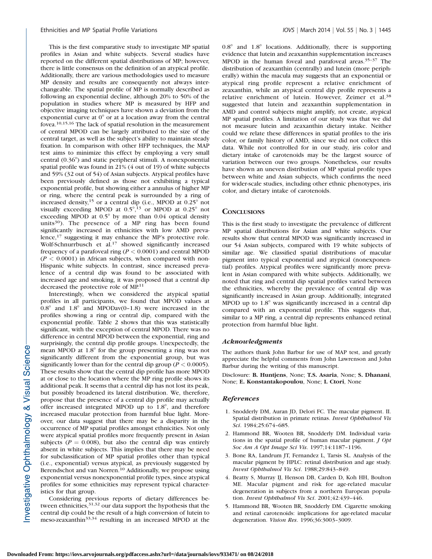This is the first comparative study to investigate MP spatial profiles in Asian and white subjects. Several studies have reported on the different spatial distributions of MP; however, there is little consensus on the definition of an atypical profile. Additionally, there are various methodologies used to measure MP density and results are consequently not always interchangeable. The spatial profile of MP is normally described as following an exponential decline, although 20% to 50% of the population in studies where MP is measured by HFP and objective imaging techniques have shown a deviation from the exponential curve at  $0^{\circ}$  or at a location away from the central fovea.10,15,16 The lack of spatial resolution in the measurement of central MPOD can be largely attributed to the size of the central target, as well as the subject's ability to maintain steady fixation. In comparison with other HFP techniques, the MAP test aims to minimize this effect by employing a very small central  $(0.36^{\circ})$  and static peripheral stimuli. A nonexponential spatial profile was found in 21% (4 out of 19) of white subjects and 59% (32 out of 54) of Asian subjects. Atypical profiles have been previously defined as those not exhibiting a typical exponential profile, but showing either a annulus of higher MP or ring, where the central peak is surrounded by a ring of increased density,<sup>15</sup> or a central dip (i.e., MPOD at  $0.25^{\circ}$  not visually exceeding MPOD at  $0.5^{\circ}$ , <sup>13</sup> or MPOD at  $0.25^{\circ}$  not exceeding MPOD at  $0.5^{\circ}$  by more than  $0.04$  optical density units $30$ ). The presence of a MP ring has been found significantly increased in ethnicities with low AMD prevalence,<sup>17</sup> suggesting it may enhance the MP's protective role. Wolf-Schnurrbusch et al.<sup>17</sup> showed significantly increased frequency of a parafoveal ring ( $P < 0.0001$ ) and central MPOD  $(P < 0.0001)$  in African subjects, when compared with non-Hispanic white subjects. In contrast, since increased prevalence of a central dip was found to be associated with increased age and smoking, it was proposed that a central dip decreased the protective role of MP.11

Interestingly, when we considered the atypical spatial profiles in all participants, we found that MPOD values at  $0.8^\circ$  and  $1.8^\circ$  and MPODav(0-1.8) were increased in the profiles showing a ring or central dip, compared with the exponential profile. Table 2 shows that this was statistically significant, with the exception of central MPOD. There was no difference in central MPOD between the exponential, ring and surprisingly, the central dip profile groups. Unexpectedly, the mean MPOD at  $1.8^{\circ}$  for the group presenting a ring was not significantly different from the exponential group, but was significantly lower than for the central dip group ( $P < 0.0005$ ). These results show that the central dip profile has more MPOD at or close to the location where the MP ring profile shows its additional peak. It seems that a central dip has not lost its peak, but possibly broadened its lateral distribution. We, therefore, propose that the presence of a central dip profile may actually offer increased integrated MPOD up to  $1.8^\circ$ , and therefore increased macular protection from harmful blue light. Moreover, our data suggest that there may be a disparity in the occurrence of MP spatial profiles amongst ethnicities. Not only were atypical spatial profiles more frequently present in Asian subjects ( $P = 0.008$ ), but also the central dip was entirely absent in white subjects. This implies that there may be need for subclassification of MP spatial profiles other than typical (i.e., exponential) versus atypical, as previously suggested by Berendschot and van Norren.<sup>10</sup> Additionally, we propose using exponential versus nonexponential profile types, since atypical profiles for some ethnicities may represent typical characteristics for that group.

Considering previous reports of dietary differences between ethnicities,<sup>31,32</sup> our data support the hypothesis that the central dip could be the result of a high conversion of lutein to meso-zeaxanthin33,34 resulting in an increased MPOD at the

 $0.8^\circ$  and  $1.8^\circ$  locations. Additionally, there is supporting evidence that lutein and zeaxanthin supplementation increases MPOD in the human foveal and parafoveal areas.35–37 The distribution of zeaxanthin (centrally) and lutein (more peripherally) within the macula may suggests that an exponential or atypical ring profile represent a relative enrichment of zeaxanthin, while an atypical central dip profile represents a relative enrichment of lutein. However, Zeimer et al.<sup>38</sup> suggested that lutein and zeaxanthin supplementation in AMD and control subjects might amplify, not create, atypical MP spatial profiles. A limitation of our study was that we did not measure lutein and zeaxanthin dietary intake. Neither could we relate these differences in spatial profiles to the iris color, or family history of AMD, since we did not collect this data. While not controlled for in our study, iris color and dietary intake of carotenoids may be the largest source of variation between our two groups. Nonetheless, our results have shown an uneven distribution of MP spatial profile types between white and Asian subjects, which confirms the need for wider-scale studies, including other ethnic phenotypes, iris color, and dietary intake of carotenoids.

#### **CONCLUSIONS**

This is the first study to investigate the prevalence of different MP spatial distributions for Asian and white subjects. Our results show that central MPOD was significantly increased in our 54 Asian subjects, compared with 19 white subjects of similar age. We classified spatial distributions of macular pigment into typical exponential and atypical (nonexponential) profiles. Atypical profiles were significantly more prevalent in Asian compared with white subjects. Additionally, we noted that ring and central dip spatial profiles varied between the ethnicities, whereby the prevalence of central dip was significantly increased in Asian group. Additionally, integrated MPOD up to  $1.8^{\circ}$  was significantly increased in a central dip compared with an exponential profile. This suggests that, similar to a MP ring, a central dip represents enhanced retinal protection from harmful blue light.

#### Acknowledgments

The authors thank John Barbur for use of MAP test, and greatly appreciate the helpful comments from John Lawrenson and John Barbur during the writing of this manuscript.

Disclosure: B. Huntjens, None; T.S. Asaria, None; S. Dhanani, None; E. Konstantakopoulou, None; I. Ctori, None

#### References

- 1. Snodderly DM, Auran JD, Delori FC. The macular pigment. II. Spatial distribution in primate retinas. Invest Ophthalmol Vis Sci. 1984;25:674–685.
- 2. Hammond BR, Wooten BR, Snodderly DM. Individual variations in the spatial profile of human macular pigment. J Opt Soc Am A Opt Image Sci Vis. 1997;14:1187–1196.
- 3. Bone RA, Landrum JT, Fernandez L, Tarsis SL. Analysis of the macular pigment by HPLC: retinal distribution and age study. Invest Ophthalmol Vis Sci. 1988;29:843–849.
- 4. Beatty S, Murray IJ, Henson DB, Carden D, Koh HH, Boulton ME. Macular pigment and risk for age-related macular degeneration in subjects from a northern European population. Invest Ophthalmol Vis Sci. 2001;42:439-446.
- 5. Hammond BR, Wooten BR, Snodderly DM. Cigarette smoking and retinal carotenoids: implications for age-related macular degeneration. Vision Res. 1996;36:3003–3009.